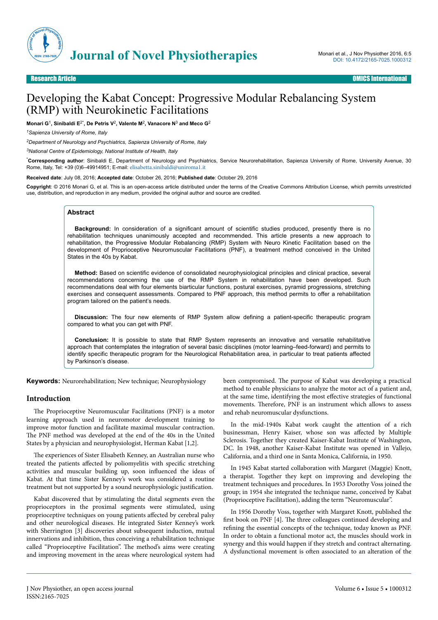

# Developing the Kabat Concept: Progressive Modular Rebalancing System (RMP) with Neurokinetic Facilitations

**Monari G**<sup>1</sup> **, Sinibaldi E**2\***, De Petris V**<sup>2</sup> **, Valente M**<sup>2</sup> **, Vanacore N**<sup>3</sup>  **and Meco G**<sup>2</sup>

*<sup>1</sup>Sapienza University of Rome, Italy*

*<sup>2</sup>Department of Neurology and Psychiatrics, Sapienza University of Rome, Italy*

*<sup>3</sup>National Centre of Epidemiology, National Institute of Health, Italy*

\***Corresponding author**: Sinibaldi E, Department of Neurology and Psychiatrics, Service Neurorehabilitation, Sapienza University of Rome, University Avenue, 30 Rome, Italy, Tel: +39 (0)6–49914951; E-mail: [elisabetta.sinibaldi@uniroma1.it](mailto:elisabetta.sinibaldi@uniroma1.it)

**Received date**: July 08, 2016; **Accepted date**: October 26, 2016; **Published date**: October 29, 2016

**Copyright**: © 2016 Monari G, et al. This is an open-access article distributed under the terms of the Creative Commons Attribution License, which permits unrestricted use, distribution, and reproduction in any medium, provided the original author and source are credited.

#### **Abstract**

**Background:** In consideration of a significant amount of scientific studies produced, presently there is no rehabilitation techniques unanimously accepted and recommended. This article presents a new approach to rehabilitation, the Progressive Modular Rebalancing (RMP) System with Neuro Kinetic Facilitation based on the development of Proprioceptive Neuromuscular Facilitations (PNF), a treatment method conceived in the United States in the 40s by Kabat.

**Method:** Based on scientific evidence of consolidated neurophysiological principles and clinical practice, several recommendations concerning the use of the RMP System in rehabilitation have been developed. Such recommendations deal with four elements biarticular functions, postural exercises, pyramid progressions, stretching exercises and consequent assessments. Compared to PNF approach, this method permits to offer a rehabilitation program tailored on the patient's needs.

**Discussion:** The four new elements of RMP System allow defining a patient-specific therapeutic program compared to what you can get with PNF.

**Conclusion:** It is possible to state that RMP System represents an innovative and versatile rehabilitative approach that contemplates the integration of several basic disciplines (motor learning–feed-forward) and permits to identify specific therapeutic program for the Neurological Rehabilitation area, in particular to treat patients affected by Parkinson's disease.

**Keywords:** Neurorehabilitation; New technique; Neurophysiology

# **Introduction**

The Proprioceptive Neuromuscular Facilitations (PNF) is a motor learning approach used in neuromotor development training to improve motor function and facilitate maximal muscular contraction. The PNF method was developed at the end of the 40s in the United States by a physician and neurophysiologist, Herman Kabat [1,2].

The experiences of Sister Elisabeth Kenney, an Australian nurse who treated the patients affected by poliomyelitis with specific stretching activities and muscular building up, soon influenced the ideas of Kabat. At that time Sister Kenney's work was considered a routine treatment but not supported by a sound neurophysiologic justification.

Kabat discovered that by stimulating the distal segments even the proprioceptors in the proximal segments were stimulated, using proprioceptive techniques on young patients affected by cerebral palsy and other neurological diseases. He integrated Sister Kenney's work with Sherrington [3] discoveries about subsequent induction, mutual innervations and inhibition, thus conceiving a rehabilitation technique called "Proprioceptive Facilitation". Нe method's aims were creating and improving movement in the areas where neurological system had been compromised. Нe purpose of Kabat was developing a practical method to enable physicians to analyze the motor act of a patient and, at the same time, identifying the most effective strategies of functional movements. Нerefore, PNF is an instrument which allows to assess and rehab neuromuscular dysfunctions.

In the mid-1940s Kabat work caught the attention of a rich businessman, Henry Kaiser, whose son was affected by Multiple Sclerosis. Together they created Kaiser-Kabat Institute of Washington, DC. In 1948, another Kaiser-Kabat Institute was opened in Vallejo, California, and a third one in Santa Monica, California, in 1950.

In 1945 Kabat started collaboration with Margaret (Maggie) Knott, a therapist. Together they kept on improving and developing the treatment techniques and procedures. In 1953 Dorothy Voss joined the group; in 1954 she integrated the technique name, conceived by Kabat (Proprioceptive Facilitation), adding the term "Neuromuscular".

In 1956 Dorothy Voss, together with Margaret Knott, published the first book on PNF [4]. Нe three colleagues continued developing and refining the essential concepts of the technique, today known as PNF. In order to obtain a functional motor act, the muscles should work in synergy and this would happen if they stretch and contract alternating. A dysfunctional movement is often associated to an alteration of the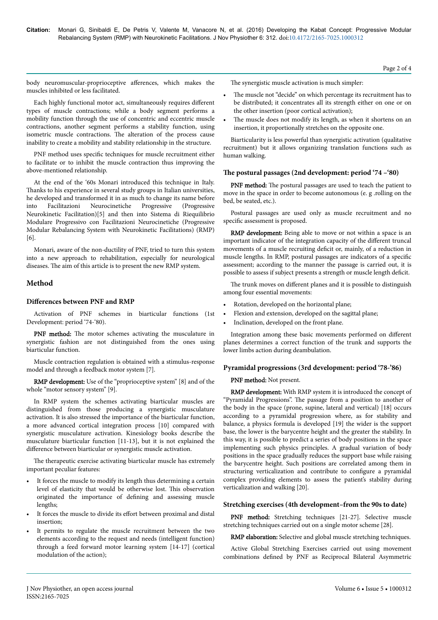body neuromuscular-proprioceptive afferences, which makes the muscles inhibited or less facilitated.

Each highly functional motor act, simultaneously requires different types of muscle contractions; while a body segment performs a mobility function through the use of concentric and eccentric muscle contractions, another segment performs a stability function, using isometric muscle contractions. Нe alteration of the process cause inability to create a mobility and stability relationship in the structure.

PNF method uses specific techniques for muscle recruitment either to facilitate or to inhibit the muscle contraction thus improving the above-mentioned relationship.

At the end of the '60s Monari introduced this technique in Italy. Нanks to his experience in several study groups in Italian universities, he developed and transformed it in as much to change its name before into Facilitazioni Neurocinetiche Progressive (Progressive Neurokinetic Facilitation)[5] and then into Sistema di Riequilibrio Modulare Progressivo con Facilitazioni Neurocinetiche (Progressive Modular Rebalancing System with Neurokinetic Facilitations) (RMP) [6].

Monari, aware of the non-ductility of PNF, tried to turn this system into a new approach to rehabilitation, especially for neurological diseases. Нe aim of this article is to present the new RMP system.

# **Method**

## **Differences between PNF and RMP**

Activation of PNF schemes in biarticular functions (1st Development: period '74-'80).

PNF method: The motor schemes activating the musculature in synergistic fashion are not distinguished from the ones using biarticular function.

Muscle contraction regulation is obtained with a stimulus-response model and through a feedback motor system [7].

RMP development: Use of the "proprioceptive system" [8] and of the whole "motor sensory system" [9].

In RMP system the schemes activating biarticular muscles are distinguished from those producing a synergistic musculature activation. It is also stressed the importance of the biarticular function, a more advanced cortical integration process [10] compared with synergistic musculature activation. Kinesiology books describe the musculature biarticular function [11-13], but it is not explained the difference between biarticular or synergistic muscle activation.

The therapeutic exercise activating biarticular muscle has extremely important peculiar features:

- It forces the muscle to modify its length thus determining a certain level of elasticity that would be otherwise lost. Нis observation originated the importance of defining and assessing muscle lengths;
- It forces the muscle to divide its effort between proximal and distal insertion;
- It permits to regulate the muscle recruitment between the two elements according to the request and needs (intelligent function) through a feed forward motor learning system [14-17] (cortical modulation of the action);

The synergistic muscle activation is much simpler:

- The muscle not "decide" on which percentage its recruitment has to be distributed; it concentrates all its strength either on one or on the other insertion (poor cortical activation);
- The muscle does not modify its length, as when it shortens on an insertion, it proportionally stretches on the opposite one.

Biarticularity is less powerful than synergistic activation (qualitative recruitment) but it allows organizing translation functions such as human walking.

## The postural passages (2nd development: period '74 – '80)

PNF method: The postural passages are used to teach the patient to move in the space in order to become autonomous (e. g .rolling on the bed, be seated, etc.).

Postural passages are used only as muscle recruitment and no specific assessment is proposed.

RMP development: Being able to move or not within a space is an important indicator of the integration capacity of the different truncal movements of a muscle recruiting deficit or, mainly, of a reduction in muscle lengths. In RMP, postural passages are indicators of a specific assessment; according to the manner the passage is carried out, it is possible to assess if subject presents a strength or muscle length deficit.

The trunk moves on different planes and it is possible to distinguish among four essential movements:

- Rotation, developed on the horizontal plane;
- Flexion and extension, developed on the sagittal plane;
- Inclination, developed on the front plane.

Integration among these basic movements performed on different planes determines a correct function of the trunk and supports the lower limbs action during deambulation.

#### **Pyramidal progressions (3rd development: period '78-'86)**

#### PNF method: Not present.

RMP development: With RMP system it is introduced the concept of "Pyramidal Progressions". Нe passage from a position to another of the body in the space (prone, supine, lateral and vertical) [18] occurs according to a pyramidal progression where, as for stability and balance, a physics formula is developed [19] the wider is the support base, the lower is the barycentre height and the greater the stability. In this way, it is possible to predict a series of body positions in the space implementing such physics principles. A gradual variation of body positions in the space gradually reduces the support base while raising the barycentre height. Such positions are correlated among them in structuring verticalization and contribute to configure a pyramidal complex providing elements to assess the patient's stability during verticalization and walking [20].

## **Stretching exercises (4th development–from the 90s to date)**

PNF method: Stretching techniques [21-27]. Selective muscle stretching techniques carried out on a single motor scheme [28].

RMP elaboration: Selective and global muscle stretching techniques.

Active Global Stretching Exercises carried out using movement combinations defined by PNF as Reciprocal Bilateral Asymmetric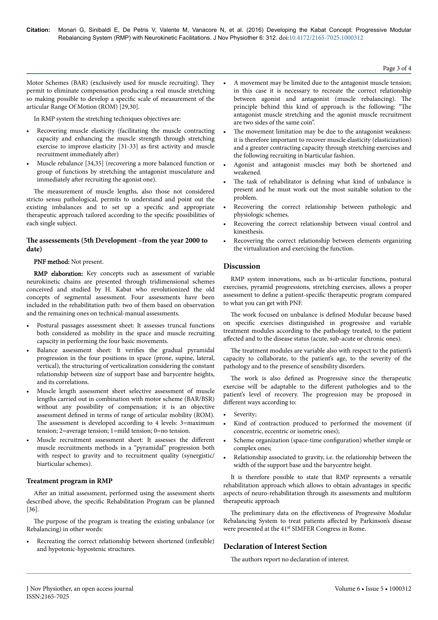Motor Schemes (BAR) (exclusively used for muscle recruiting). Нey permit to eliminate compensation producing a real muscle stretching so making possible to develop a specific scale of measurement of the articular Range Of Motion (ROM) [29,30].

In RMP system the stretching techniques objectives are:

- Recovering muscle elasticity (facilitating the muscle contracting capacity and enhancing the muscle strength through stretching exercise to improve elasticity [31-33] as first activity and muscle recruitment immediately after)
- Muscle rebalance [34,35] (recovering a more balanced function or group of functions by stretching the antagonist musculature and immediately after recruiting the agonist one).

The measurement of muscle lengths, also those not considered stricto sensu pathological, permits to understand and point out the existing imbalances and to set up a specific and appropriate therapeutic approach tailored according to the specific possibilities of each single subject.

# The assessements (5th Development –from the year 2000 to **date)**

#### PNF method: Not present.

RMP elaboration: Key concepts such as assessment of variable neurokinetic chains are presented through tridimensional schemes conceived and studied by H. Kabat who revolutionized the old concepts of segmental assessment. Four assessments have been included in the rehabilitation path: two of them based on observation and the remaining ones on technical-manual assessments.

- Postural passages assessment sheet: It assesses truncal functions both considered as mobility in the space and muscle recruiting capacity in performing the four basic movements.
- Balance assessment sheet: It verifies the gradual pyramidal progression in the four positions in space (prone, supine, lateral, vertical), the structuring of verticalization considering the constant relationship between size of support base and barycentre heights, and its correlations.
- Muscle length assessment sheet selective assessment of muscle lengths carried out in combination with motor scheme (BAR/BSR) without any possibility of compensation; it is an objective assessment defined in terms of range of articular mobility (ROM). The assessment is developed according to 4 levels: 3=maximum tension; 2=average tension; 1=mild tension; 0=no tension.
- Muscle recruitment assessment sheet: It assesses the different muscle recruitments methods in a "pyramidal" progression both with respect to gravity and to recruitment quality (synergistic/ biarticular schemes).

## **Treatment program in RMP**

After an initial assessment, performed using the assessment sheets described above, the specific Rehabilitation Program can be planned [36].

The purpose of the program is treating the existing unbalance (or Rebalancing) in other words:

Recreating the correct relationship between shortened (inflexible) and hypotonic-hypostenic structures.

- A movement may be limited due to the antagonist muscle tension; in this case it is necessary to recreate the correct relationship between agonist and antagonist (muscle rebalancing). Нe principle behind this kind of approach is the following: "The antagonist muscle stretching and the agonist muscle recruitment are two sides of the same coin".
- The movement limitation may be due to the antagonist weakness: it is therefore important to recover muscle elasticity (elasticization) and a greater contracting capacity through stretching exercises and the following recruiting in biarticular fashion.
- Agonist and antagonist muscles may both be shortened and weakened.
- The task of rehabilitator is defining what kind of unbalance is present and he must work out the most suitable solution to the problem.
- Recovering the correct relationship between pathologic and physiologic schemes.
- Recovering the correct relationship between visual control and kinesthesis.
- Recovering the correct relationship between elements organizing the virtualization and exercising the function.

# **Discussion**

RMP system innovations, such as bi-articular functions, postural exercises, pyramid progressions, stretching exercises, allows a proper assessment to define a patient-specific therapeutic program compared to what you can get with PNF.

The work focused on unbalance is defined Modular because based on specific exercises distinguished in progressive and variable treatment modules according to the pathology treated, to the patient affected and to the disease status (acute, sub-acute or chronic ones).

The treatment modules are variable also with respect to the patient's capacity to collaborate, to the patient's age, to the severity of the pathology and to the presence of sensibility disorders.

The work is also defined as Progressive since the therapeutic exercise will be adaptable to the different pathologies and to the patient's level of recovery. Нe progression may be proposed in different ways according to:

- Severity;
- Kind of contraction produced to performed the movement (if concentric, eccentric or isometric ones);
- Scheme organization (space-time configuration) whether simple or complex ones;
- Relationship associated to gravity, i.e. the relationship between the width of the support base and the barycentre height.

It is therefore possible to state that RMP represents a versatile rehabilitation approach which allows to obtain advantages in specific aspects of neuro-rehabilitation through its assessments and multiform therapeutic approach

The preliminary data on the effectiveness of Progressive Modular Rebalancing System to treat patients affected by Parkinson's disease were presented at the 41<sup>st</sup> SIMFER Congress in Rome.

# **Declaration of Interest Section**

The authors report no declaration of interest.